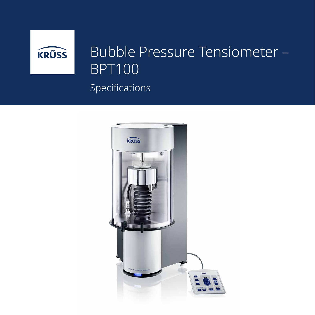

## Specifications Bubble Pressure Tensiometer – BPT100

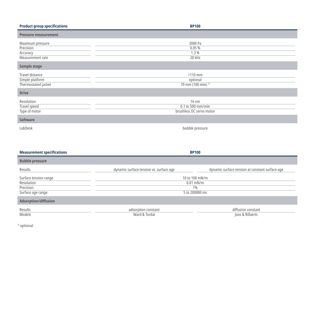| <b>Product group specifications</b>                                       | <b>BP100</b>                                           |
|---------------------------------------------------------------------------|--------------------------------------------------------|
| <b>Pressure measurement</b>                                               |                                                        |
| Maximum pressure<br>Precision<br>Accuracy<br>Measurement rate             | 3000 Pa<br>0.05%<br>1.3%<br>20 kHz                     |
| Sample stage                                                              |                                                        |
| Travel distance<br>Simple platform<br>Thermostated jacket<br><b>Drive</b> | $>110$ mm<br>optional<br>70 mm (100 mm) <sup>1)</sup>  |
| Resolution<br>Travel speed<br>Type of motor                               | 16 nm<br>0.1 to 500 mm/min<br>brushless DC servo motor |
| <b>Software</b>                                                           |                                                        |
| LabDesk                                                                   | bubble pressure                                        |

| <b>Measurement specifications</b>                                     |                                                          | <b>BP100</b>                                    |
|-----------------------------------------------------------------------|----------------------------------------------------------|-------------------------------------------------|
| <b>Bubble pressure</b>                                                |                                                          |                                                 |
| Results                                                               | dynamic surface tension vs. surface age                  | dynamic surface tension at constant surface age |
| Surface tension range<br>Resolution<br>Precision<br>Surface age range | 10 to 100 mN/m<br>$0.01$ mN/m<br>$1\%$<br>5 to 200000 ms |                                                 |
| <b>Adsorption/diffusion</b>                                           |                                                          |                                                 |
| Results<br>Models                                                     | adsorption constant<br>Ward & Tordai                     | diffusion constant<br>Joos & Rillaerts          |

<sup>1)</sup> optional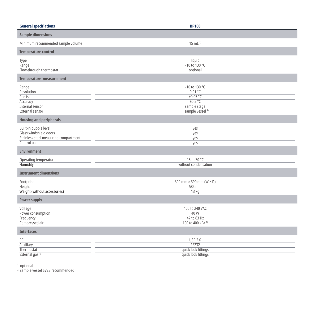| <b>General specifiations</b>                                                                            | <b>BP100</b>                                                                                     |
|---------------------------------------------------------------------------------------------------------|--------------------------------------------------------------------------------------------------|
| <b>Sample dimensions</b>                                                                                |                                                                                                  |
| Minimum recommended sample volume                                                                       | $15$ mL $^{2}$                                                                                   |
| <b>Temperature control</b>                                                                              |                                                                                                  |
| Type<br>Range<br>Flow-through thermostat                                                                | liquid<br>$-10$ to $130 °C$<br>optional                                                          |
| Temperature measurement                                                                                 |                                                                                                  |
| Range<br>Resolution<br>Precision<br>Accuracy<br><b>Internal sensor</b><br>External sensor               | -10 to 130 °C<br>$0.01$ °C<br>±0.05 °C<br>±0.5 °C<br>sample stage<br>sample vessel <sup>1)</sup> |
| <b>Housing and peripherals</b>                                                                          |                                                                                                  |
| Built-in bubble level<br>Glass windshield doors<br>Stainless steel measuring compartment<br>Control pad | yes<br>yes<br>yes<br>yes                                                                         |
| <b>Environment</b>                                                                                      |                                                                                                  |
| Operating temperature<br><b>Humidity</b>                                                                | 15 to 30 °C<br>without condensation                                                              |
| <b>Instrument dimensions</b>                                                                            |                                                                                                  |
| Footprint<br>Height<br>Weight (without accessories)                                                     | 300 mm $\times$ 390 mm (W $\times$ D)<br>585 mm<br>13 <sub>kg</sub>                              |
| <b>Power supply</b>                                                                                     |                                                                                                  |
| Voltage<br>Power consumption<br>Frequency<br>Compressed air                                             | 100 to 240 VAC<br>40 W<br>47 to 63 Hz<br>100 to 400 kPa <sup>1)</sup>                            |
| <b>Interfaces</b>                                                                                       |                                                                                                  |
| PC<br>Auxiliary<br>Thermostat<br>External gas <sup>1)</sup>                                             | <b>USB 2.0</b><br><b>RS232</b><br>quick lock fittings<br>quick lock fittings                     |

1) optional

2) sample vessel SV23 recommended